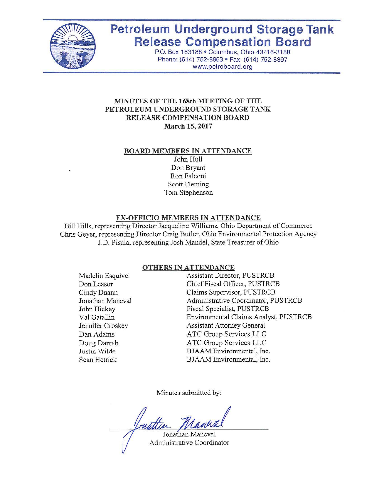

# **Petroleum Underground Storage Tank Release Compensation Board**

P.O. Box 163188 · Columbus, Ohio 43216-3188 Phone: (614) 752-8963 · Fax: (614) 752-8397 www.petroboard.org

#### **MINUTES OF THE 168th MEETING OF THE PETROLEUM UNDERGROUND STORAGE TANK RELEASE COMPENSATION BOARD March 15, 2017**

#### **BOARD MEMBERS IN ATTENDANCE**

John Hull Don Bryant Ron Falconi Scott Fleming Tom Stephenson

#### **EX-OFFICIO MEMBERS IN ATTENDANCE**

Bill Hills, representing Director Jacqueline Williams, Ohio Department of Commerce Chris Geyer, representing Director Craig Butler, Ohio Environmental Protection Agency J.D. Pisula, representing Josh Mandel, State Treasurer of Ohio

#### **OTHERS IN ATTENDANCE**

Madelin Esquivel Don Leasor Cindy Duann Jonathan Maneval John Hickey Val Gatallin Jennifer Croskey Dan Adams Doug Darrah Justin Wilde Sean Hetrick

Assistant Director, PUSTRCB Chief Fiscal Officer, PUSTRCB Claims Supervisor, PUSTRCB Administrative Coordinator, PUSTRCB Fiscal Specialist, PUSTRCB Environmental Claims Analyst, PUSTRCB Assistant Attorney General ATC Group Services LLC ATC Group Services LLC BJAAM Environmental, Inc. BJAAM Environmental, Inc.

Minutes submitted by:

Jonathan Maneval

Administrative Coordinator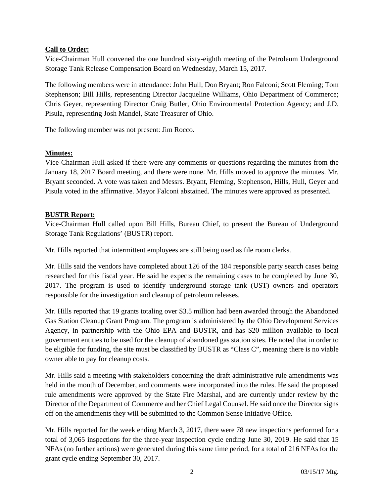# **Call to Order:**

Vice-Chairman Hull convened the one hundred sixty-eighth meeting of the Petroleum Underground Storage Tank Release Compensation Board on Wednesday, March 15, 2017.

The following members were in attendance: John Hull; Don Bryant; Ron Falconi; Scott Fleming; Tom Stephenson; Bill Hills, representing Director Jacqueline Williams, Ohio Department of Commerce; Chris Geyer, representing Director Craig Butler, Ohio Environmental Protection Agency; and J.D. Pisula, representing Josh Mandel, State Treasurer of Ohio.

The following member was not present: Jim Rocco.

# **Minutes:**

Vice-Chairman Hull asked if there were any comments or questions regarding the minutes from the January 18, 2017 Board meeting, and there were none. Mr. Hills moved to approve the minutes. Mr. Bryant seconded. A vote was taken and Messrs. Bryant, Fleming, Stephenson, Hills, Hull, Geyer and Pisula voted in the affirmative. Mayor Falconi abstained. The minutes were approved as presented.

# **BUSTR Report:**

Vice-Chairman Hull called upon Bill Hills, Bureau Chief, to present the Bureau of Underground Storage Tank Regulations' (BUSTR) report.

Mr. Hills reported that intermittent employees are still being used as file room clerks.

Mr. Hills said the vendors have completed about 126 of the 184 responsible party search cases being researched for this fiscal year. He said he expects the remaining cases to be completed by June 30, 2017. The program is used to identify underground storage tank (UST) owners and operators responsible for the investigation and cleanup of petroleum releases.

Mr. Hills reported that 19 grants totaling over \$3.5 million had been awarded through the Abandoned Gas Station Cleanup Grant Program. The program is administered by the Ohio Development Services Agency, in partnership with the Ohio EPA and BUSTR, and has \$20 million available to local government entities to be used for the cleanup of abandoned gas station sites. He noted that in order to be eligible for funding, the site must be classified by BUSTR as "Class C", meaning there is no viable owner able to pay for cleanup costs.

Mr. Hills said a meeting with stakeholders concerning the draft administrative rule amendments was held in the month of December, and comments were incorporated into the rules. He said the proposed rule amendments were approved by the State Fire Marshal, and are currently under review by the Director of the Department of Commerce and her Chief Legal Counsel. He said once the Director signs off on the amendments they will be submitted to the Common Sense Initiative Office.

Mr. Hills reported for the week ending March 3, 2017, there were 78 new inspections performed for a total of 3,065 inspections for the three-year inspection cycle ending June 30, 2019. He said that 15 NFAs (no further actions) were generated during this same time period, for a total of 216 NFAs for the grant cycle ending September 30, 2017.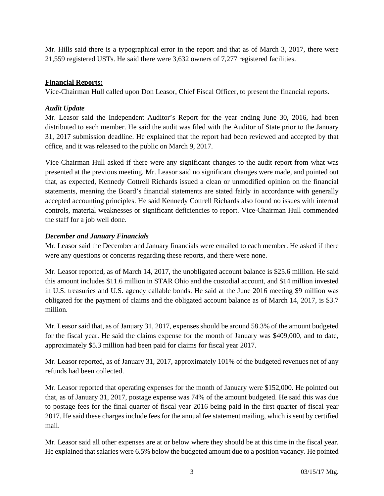Mr. Hills said there is a typographical error in the report and that as of March 3, 2017, there were 21,559 registered USTs. He said there were 3,632 owners of 7,277 registered facilities.

### **Financial Reports:**

Vice-Chairman Hull called upon Don Leasor, Chief Fiscal Officer, to present the financial reports.

# *Audit Update*

Mr. Leasor said the Independent Auditor's Report for the year ending June 30, 2016, had been distributed to each member. He said the audit was filed with the Auditor of State prior to the January 31, 2017 submission deadline. He explained that the report had been reviewed and accepted by that office, and it was released to the public on March 9, 2017.

Vice-Chairman Hull asked if there were any significant changes to the audit report from what was presented at the previous meeting. Mr. Leasor said no significant changes were made, and pointed out that, as expected, Kennedy Cottrell Richards issued a clean or unmodified opinion on the financial statements, meaning the Board's financial statements are stated fairly in accordance with generally accepted accounting principles. He said Kennedy Cottrell Richards also found no issues with internal controls, material weaknesses or significant deficiencies to report. Vice-Chairman Hull commended the staff for a job well done.

# *December and January Financials*

Mr. Leasor said the December and January financials were emailed to each member. He asked if there were any questions or concerns regarding these reports, and there were none.

Mr. Leasor reported, as of March 14, 2017, the unobligated account balance is \$25.6 million. He said this amount includes \$11.6 million in STAR Ohio and the custodial account, and \$14 million invested in U.S. treasuries and U.S. agency callable bonds. He said at the June 2016 meeting \$9 million was obligated for the payment of claims and the obligated account balance as of March 14, 2017, is \$3.7 million.

Mr. Leasor said that, as of January 31, 2017, expenses should be around 58.3% of the amount budgeted for the fiscal year. He said the claims expense for the month of January was \$409,000, and to date, approximately \$5.3 million had been paid for claims for fiscal year 2017.

Mr. Leasor reported, as of January 31, 2017, approximately 101% of the budgeted revenues net of any refunds had been collected.

Mr. Leasor reported that operating expenses for the month of January were \$152,000. He pointed out that, as of January 31, 2017, postage expense was 74% of the amount budgeted. He said this was due to postage fees for the final quarter of fiscal year 2016 being paid in the first quarter of fiscal year 2017. He said these charges include fees for the annual fee statement mailing, which is sent by certified mail.

Mr. Leasor said all other expenses are at or below where they should be at this time in the fiscal year. He explained that salaries were 6.5% below the budgeted amount due to a position vacancy. He pointed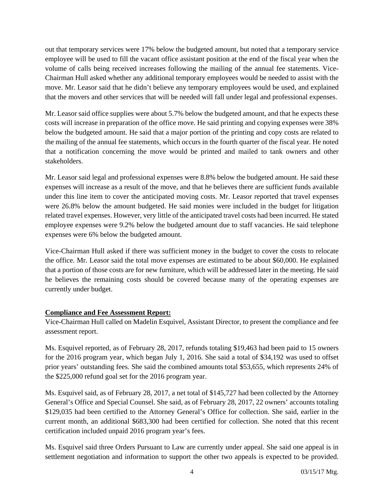out that temporary services were 17% below the budgeted amount, but noted that a temporary service employee will be used to fill the vacant office assistant position at the end of the fiscal year when the volume of calls being received increases following the mailing of the annual fee statements. Vice-Chairman Hull asked whether any additional temporary employees would be needed to assist with the move. Mr. Leasor said that he didn't believe any temporary employees would be used, and explained that the movers and other services that will be needed will fall under legal and professional expenses.

Mr. Leasor said office supplies were about 5.7% below the budgeted amount, and that he expects these costs will increase in preparation of the office move. He said printing and copying expenses were 38% below the budgeted amount. He said that a major portion of the printing and copy costs are related to the mailing of the annual fee statements, which occurs in the fourth quarter of the fiscal year. He noted that a notification concerning the move would be printed and mailed to tank owners and other stakeholders.

Mr. Leasor said legal and professional expenses were 8.8% below the budgeted amount. He said these expenses will increase as a result of the move, and that he believes there are sufficient funds available under this line item to cover the anticipated moving costs. Mr. Leasor reported that travel expenses were 26.8% below the amount budgeted. He said monies were included in the budget for litigation related travel expenses. However, very little of the anticipated travel costs had been incurred. He stated employee expenses were 9.2% below the budgeted amount due to staff vacancies. He said telephone expenses were 6% below the budgeted amount.

Vice-Chairman Hull asked if there was sufficient money in the budget to cover the costs to relocate the office. Mr. Leasor said the total move expenses are estimated to be about \$60,000. He explained that a portion of those costs are for new furniture, which will be addressed later in the meeting. He said he believes the remaining costs should be covered because many of the operating expenses are currently under budget.

# **Compliance and Fee Assessment Report:**

Vice-Chairman Hull called on Madelin Esquivel, Assistant Director, to present the compliance and fee assessment report.

Ms. Esquivel reported, as of February 28, 2017, refunds totaling \$19,463 had been paid to 15 owners for the 2016 program year, which began July 1, 2016. She said a total of \$34,192 was used to offset prior years' outstanding fees. She said the combined amounts total \$53,655, which represents 24% of the \$225,000 refund goal set for the 2016 program year.

Ms. Esquivel said, as of February 28, 2017, a net total of \$145,727 had been collected by the Attorney General's Office and Special Counsel. She said, as of February 28, 2017, 22 owners' accounts totaling \$129,035 had been certified to the Attorney General's Office for collection. She said, earlier in the current month, an additional \$683,300 had been certified for collection. She noted that this recent certification included unpaid 2016 program year's fees.

Ms. Esquivel said three Orders Pursuant to Law are currently under appeal. She said one appeal is in settlement negotiation and information to support the other two appeals is expected to be provided.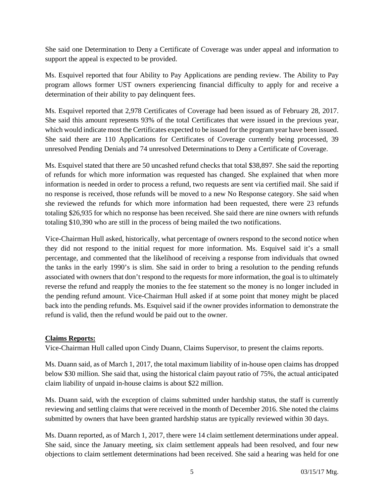She said one Determination to Deny a Certificate of Coverage was under appeal and information to support the appeal is expected to be provided.

Ms. Esquivel reported that four Ability to Pay Applications are pending review. The Ability to Pay program allows former UST owners experiencing financial difficulty to apply for and receive a determination of their ability to pay delinquent fees.

Ms. Esquivel reported that 2,978 Certificates of Coverage had been issued as of February 28, 2017. She said this amount represents 93% of the total Certificates that were issued in the previous year, which would indicate most the Certificates expected to be issued for the program year have been issued. She said there are 110 Applications for Certificates of Coverage currently being processed, 39 unresolved Pending Denials and 74 unresolved Determinations to Deny a Certificate of Coverage.

Ms. Esquivel stated that there are 50 uncashed refund checks that total \$38,897. She said the reporting of refunds for which more information was requested has changed. She explained that when more information is needed in order to process a refund, two requests are sent via certified mail. She said if no response is received, those refunds will be moved to a new No Response category. She said when she reviewed the refunds for which more information had been requested, there were 23 refunds totaling \$26,935 for which no response has been received. She said there are nine owners with refunds totaling \$10,390 who are still in the process of being mailed the two notifications.

Vice-Chairman Hull asked, historically, what percentage of owners respond to the second notice when they did not respond to the initial request for more information. Ms. Esquivel said it's a small percentage, and commented that the likelihood of receiving a response from individuals that owned the tanks in the early 1990's is slim. She said in order to bring a resolution to the pending refunds associated with owners that don't respond to the requests for more information, the goal is to ultimately reverse the refund and reapply the monies to the fee statement so the money is no longer included in the pending refund amount. Vice-Chairman Hull asked if at some point that money might be placed back into the pending refunds. Ms. Esquivel said if the owner provides information to demonstrate the refund is valid, then the refund would be paid out to the owner.

#### **Claims Reports:**

Vice-Chairman Hull called upon Cindy Duann, Claims Supervisor, to present the claims reports.

Ms. Duann said, as of March 1, 2017, the total maximum liability of in-house open claims has dropped below \$30 million. She said that, using the historical claim payout ratio of 75%, the actual anticipated claim liability of unpaid in-house claims is about \$22 million.

Ms. Duann said, with the exception of claims submitted under hardship status, the staff is currently reviewing and settling claims that were received in the month of December 2016. She noted the claims submitted by owners that have been granted hardship status are typically reviewed within 30 days.

Ms. Duann reported, as of March 1, 2017, there were 14 claim settlement determinations under appeal. She said, since the January meeting, six claim settlement appeals had been resolved, and four new objections to claim settlement determinations had been received. She said a hearing was held for one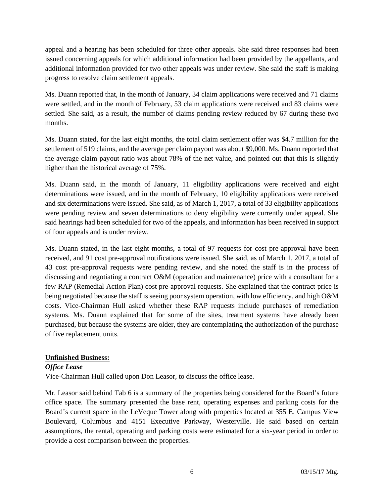appeal and a hearing has been scheduled for three other appeals. She said three responses had been issued concerning appeals for which additional information had been provided by the appellants, and additional information provided for two other appeals was under review. She said the staff is making progress to resolve claim settlement appeals.

Ms. Duann reported that, in the month of January, 34 claim applications were received and 71 claims were settled, and in the month of February, 53 claim applications were received and 83 claims were settled. She said, as a result, the number of claims pending review reduced by 67 during these two months.

Ms. Duann stated, for the last eight months, the total claim settlement offer was \$4.7 million for the settlement of 519 claims, and the average per claim payout was about \$9,000. Ms. Duann reported that the average claim payout ratio was about 78% of the net value, and pointed out that this is slightly higher than the historical average of 75%.

Ms. Duann said, in the month of January, 11 eligibility applications were received and eight determinations were issued, and in the month of February, 10 eligibility applications were received and six determinations were issued. She said, as of March 1, 2017, a total of 33 eligibility applications were pending review and seven determinations to deny eligibility were currently under appeal. She said hearings had been scheduled for two of the appeals, and information has been received in support of four appeals and is under review.

Ms. Duann stated, in the last eight months, a total of 97 requests for cost pre-approval have been received, and 91 cost pre-approval notifications were issued. She said, as of March 1, 2017, a total of 43 cost pre-approval requests were pending review, and she noted the staff is in the process of discussing and negotiating a contract O&M (operation and maintenance) price with a consultant for a few RAP (Remedial Action Plan) cost pre-approval requests. She explained that the contract price is being negotiated because the staff is seeing poor system operation, with low efficiency, and high O&M costs. Vice-Chairman Hull asked whether these RAP requests include purchases of remediation systems. Ms. Duann explained that for some of the sites, treatment systems have already been purchased, but because the systems are older, they are contemplating the authorization of the purchase of five replacement units.

#### **Unfinished Business:**

#### *Office Lease*

Vice-Chairman Hull called upon Don Leasor, to discuss the office lease.

Mr. Leasor said behind Tab 6 is a summary of the properties being considered for the Board's future office space. The summary presented the base rent, operating expenses and parking costs for the Board's current space in the LeVeque Tower along with properties located at 355 E. Campus View Boulevard, Columbus and 4151 Executive Parkway, Westerville. He said based on certain assumptions, the rental, operating and parking costs were estimated for a six-year period in order to provide a cost comparison between the properties.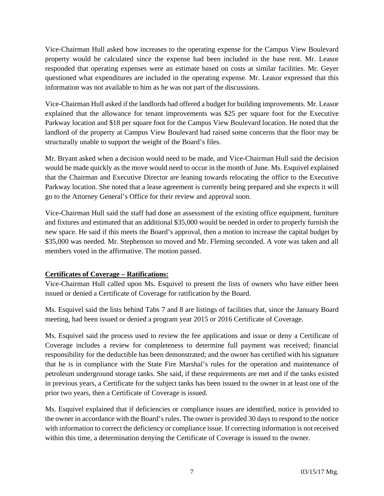Vice-Chairman Hull asked how increases to the operating expense for the Campus View Boulevard property would be calculated since the expense had been included in the base rent. Mr. Leasor responded that operating expenses were an estimate based on costs at similar facilities. Mr. Geyer questioned what expenditures are included in the operating expense. Mr. Leasor expressed that this information was not available to him as he was not part of the discussions.

Vice-Chairman Hull asked if the landlords had offered a budget for building improvements. Mr. Leasor explained that the allowance for tenant improvements was \$25 per square foot for the Executive Parkway location and \$18 per square foot for the Campus View Boulevard location. He noted that the landlord of the property at Campus View Boulevard had raised some concerns that the floor may be structurally unable to support the weight of the Board's files.

Mr. Bryant asked when a decision would need to be made, and Vice-Chairman Hull said the decision would be made quickly as the move would need to occur in the month of June. Ms. Esquivel explained that the Chairman and Executive Director are leaning towards relocating the office to the Executive Parkway location. She noted that a lease agreement is currently being prepared and she expects it will go to the Attorney General's Office for their review and approval soon.

Vice-Chairman Hull said the staff had done an assessment of the existing office equipment, furniture and fixtures and estimated that an additional \$35,000 would be needed in order to properly furnish the new space. He said if this meets the Board's approval, then a motion to increase the capital budget by \$35,000 was needed. Mr. Stephenson so moved and Mr. Fleming seconded. A vote was taken and all members voted in the affirmative. The motion passed.

# **Certificates of Coverage – Ratifications:**

Vice-Chairman Hull called upon Ms. Esquivel to present the lists of owners who have either been issued or denied a Certificate of Coverage for ratification by the Board.

Ms. Esquivel said the lists behind Tabs 7 and 8 are listings of facilities that, since the January Board meeting, had been issued or denied a program year 2015 or 2016 Certificate of Coverage.

Ms. Esquivel said the process used to review the fee applications and issue or deny a Certificate of Coverage includes a review for completeness to determine full payment was received; financial responsibility for the deductible has been demonstrated; and the owner has certified with his signature that he is in compliance with the State Fire Marshal's rules for the operation and maintenance of petroleum underground storage tanks. She said, if these requirements are met and if the tanks existed in previous years, a Certificate for the subject tanks has been issued to the owner in at least one of the prior two years, then a Certificate of Coverage is issued.

Ms. Esquivel explained that if deficiencies or compliance issues are identified, notice is provided to the owner in accordance with the Board's rules. The owner is provided 30 days to respond to the notice with information to correct the deficiency or compliance issue. If correcting information is not received within this time, a determination denying the Certificate of Coverage is issued to the owner.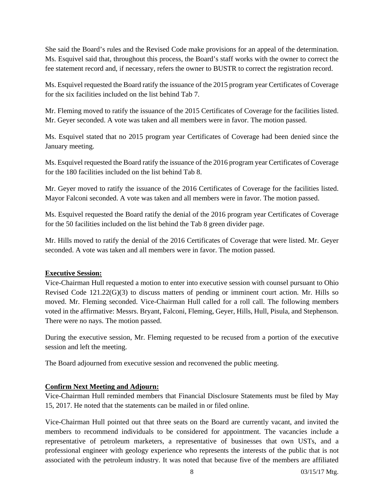She said the Board's rules and the Revised Code make provisions for an appeal of the determination. Ms. Esquivel said that, throughout this process, the Board's staff works with the owner to correct the fee statement record and, if necessary, refers the owner to BUSTR to correct the registration record.

Ms. Esquivel requested the Board ratify the issuance of the 2015 program year Certificates of Coverage for the six facilities included on the list behind Tab 7.

Mr. Fleming moved to ratify the issuance of the 2015 Certificates of Coverage for the facilities listed. Mr. Geyer seconded. A vote was taken and all members were in favor. The motion passed.

Ms. Esquivel stated that no 2015 program year Certificates of Coverage had been denied since the January meeting.

Ms. Esquivel requested the Board ratify the issuance of the 2016 program year Certificates of Coverage for the 180 facilities included on the list behind Tab 8.

Mr. Geyer moved to ratify the issuance of the 2016 Certificates of Coverage for the facilities listed. Mayor Falconi seconded. A vote was taken and all members were in favor. The motion passed.

Ms. Esquivel requested the Board ratify the denial of the 2016 program year Certificates of Coverage for the 50 facilities included on the list behind the Tab 8 green divider page.

Mr. Hills moved to ratify the denial of the 2016 Certificates of Coverage that were listed. Mr. Geyer seconded. A vote was taken and all members were in favor. The motion passed.

#### **Executive Session:**

Vice-Chairman Hull requested a motion to enter into executive session with counsel pursuant to Ohio Revised Code 121.22(G)(3) to discuss matters of pending or imminent court action. Mr. Hills so moved. Mr. Fleming seconded. Vice-Chairman Hull called for a roll call. The following members voted in the affirmative: Messrs. Bryant, Falconi, Fleming, Geyer, Hills, Hull, Pisula, and Stephenson. There were no nays. The motion passed.

During the executive session, Mr. Fleming requested to be recused from a portion of the executive session and left the meeting.

The Board adjourned from executive session and reconvened the public meeting.

# **Confirm Next Meeting and Adjourn:**

Vice-Chairman Hull reminded members that Financial Disclosure Statements must be filed by May 15, 2017. He noted that the statements can be mailed in or filed online.

Vice-Chairman Hull pointed out that three seats on the Board are currently vacant, and invited the members to recommend individuals to be considered for appointment. The vacancies include a representative of petroleum marketers, a representative of businesses that own USTs, and a professional engineer with geology experience who represents the interests of the public that is not associated with the petroleum industry. It was noted that because five of the members are affiliated